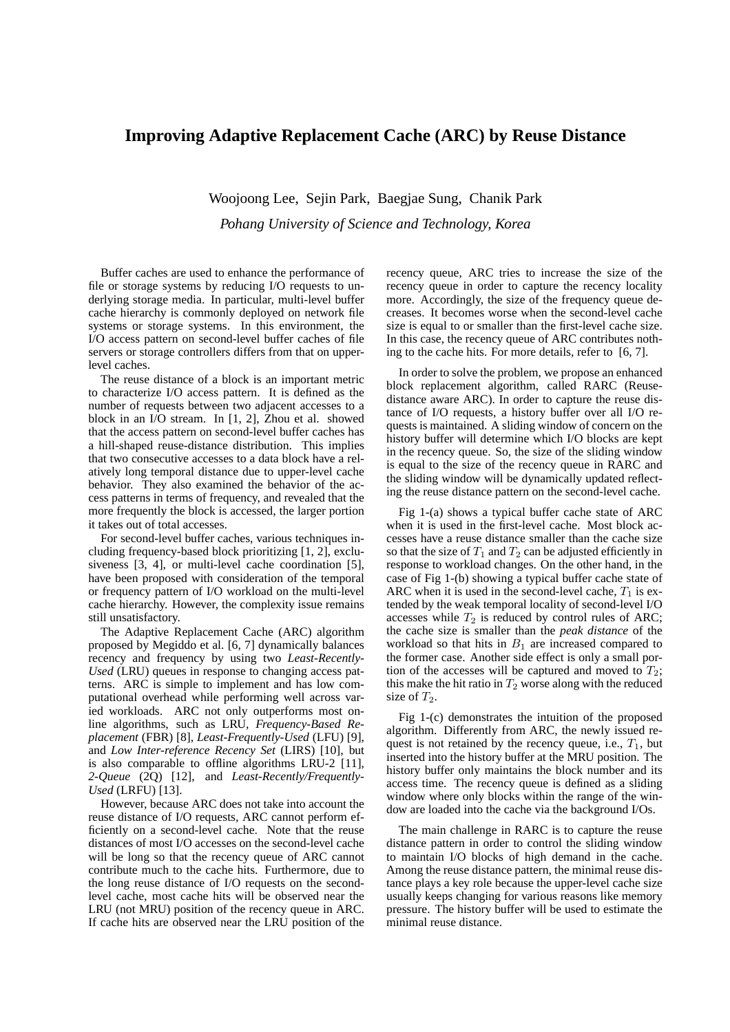## **Improving Adaptive Replacement Cache (ARC) by Reuse Distance**

Woojoong Lee, Sejin Park, Baegjae Sung, Chanik Park *Pohang University of Science and Technology, Korea*

Buffer caches are used to enhance the performance of file or storage systems by reducing I/O requests to underlying storage media. In particular, multi-level buffer cache hierarchy is commonly deployed on network file systems or storage systems. In this environment, the I/O access pattern on second-level buffer caches of file servers or storage controllers differs from that on upperlevel caches.

The reuse distance of a block is an important metric to characterize I/O access pattern. It is defined as the number of requests between two adjacent accesses to a block in an I/O stream. In [1, 2], Zhou et al. showed that the access pattern on second-level buffer caches has a hill-shaped reuse-distance distribution. This implies that two consecutive accesses to a data block have a relatively long temporal distance due to upper-level cache behavior. They also examined the behavior of the access patterns in terms of frequency, and revealed that the more frequently the block is accessed, the larger portion it takes out of total accesses.

For second-level buffer caches, various techniques including frequency-based block prioritizing [1, 2], exclusiveness [3, 4], or multi-level cache coordination [5], have been proposed with consideration of the temporal or frequency pattern of I/O workload on the multi-level cache hierarchy. However, the complexity issue remains still unsatisfactory.

The Adaptive Replacement Cache (ARC) algorithm proposed by Megiddo et al. [6, 7] dynamically balances recency and frequency by using two *Least-Recently-Used* (LRU) queues in response to changing access patterns. ARC is simple to implement and has low computational overhead while performing well across varied workloads. ARC not only outperforms most online algorithms, such as LRU, *Frequency-Based Replacement* (FBR) [8], *Least-Frequently-Used* (LFU) [9], and *Low Inter-reference Recency Set* (LIRS) [10], but is also comparable to offline algorithms LRU-2 [11], *2-Queue* (2Q) [12], and *Least-Recently/Frequently-Used* (LRFU) [13].

However, because ARC does not take into account the reuse distance of I/O requests, ARC cannot perform efficiently on a second-level cache. Note that the reuse distances of most I/O accesses on the second-level cache will be long so that the recency queue of ARC cannot contribute much to the cache hits. Furthermore, due to the long reuse distance of I/O requests on the secondlevel cache, most cache hits will be observed near the LRU (not MRU) position of the recency queue in ARC. If cache hits are observed near the LRU position of the

recency queue, ARC tries to increase the size of the recency queue in order to capture the recency locality more. Accordingly, the size of the frequency queue decreases. It becomes worse when the second-level cache size is equal to or smaller than the first-level cache size. In this case, the recency queue of ARC contributes nothing to the cache hits. For more details, refer to [6, 7].

In order to solve the problem, we propose an enhanced block replacement algorithm, called RARC (Reusedistance aware ARC). In order to capture the reuse distance of I/O requests, a history buffer over all I/O requests is maintained. A sliding window of concern on the history buffer will determine which I/O blocks are kept in the recency queue. So, the size of the sliding window is equal to the size of the recency queue in RARC and the sliding window will be dynamically updated reflecting the reuse distance pattern on the second-level cache.

Fig 1-(a) shows a typical buffer cache state of ARC when it is used in the first-level cache. Most block accesses have a reuse distance smaller than the cache size so that the size of  $T_1$  and  $T_2$  can be adjusted efficiently in response to workload changes. On the other hand, in the case of Fig 1-(b) showing a typical buffer cache state of ARC when it is used in the second-level cache,  $T_1$  is extended by the weak temporal locality of second-level I/O accesses while  $T_2$  is reduced by control rules of ARC; the cache size is smaller than the *peak distance* of the workload so that hits in  $B_1$  are increased compared to the former case. Another side effect is only a small portion of the accesses will be captured and moved to  $T_2$ ; this make the hit ratio in  $T_2$  worse along with the reduced size of  $T_2$ .

Fig 1-(c) demonstrates the intuition of the proposed algorithm. Differently from ARC, the newly issued request is not retained by the recency queue, i.e.,  $T_1$ , but inserted into the history buffer at the MRU position. The history buffer only maintains the block number and its access time. The recency queue is defined as a sliding window where only blocks within the range of the window are loaded into the cache via the background I/Os.

The main challenge in RARC is to capture the reuse distance pattern in order to control the sliding window to maintain I/O blocks of high demand in the cache. Among the reuse distance pattern, the minimal reuse distance plays a key role because the upper-level cache size usually keeps changing for various reasons like memory pressure. The history buffer will be used to estimate the minimal reuse distance.